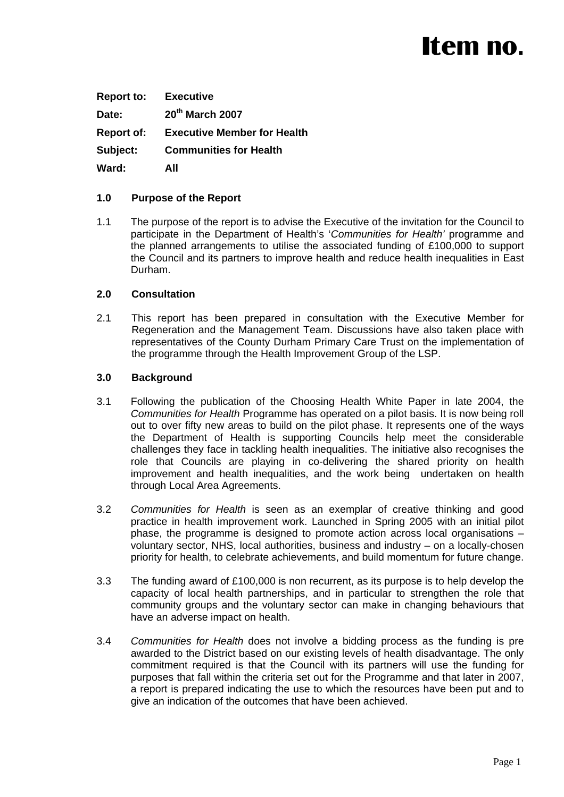# Item no.

| <b>Report to:</b> | <b>Executive</b>                   |
|-------------------|------------------------------------|
| Date:             | 20 <sup>th</sup> March 2007        |
| <b>Report of:</b> | <b>Executive Member for Health</b> |
| Subject:          | <b>Communities for Health</b>      |
| Ward:             | AII                                |

## **1.0 Purpose of the Report**

1.1 The purpose of the report is to advise the Executive of the invitation for the Council to participate in the Department of Health's '*Communities for Health'* programme and the planned arrangements to utilise the associated funding of £100,000 to support the Council and its partners to improve health and reduce health inequalities in East Durham.

#### **2.0 Consultation**

2.1 This report has been prepared in consultation with the Executive Member for Regeneration and the Management Team. Discussions have also taken place with representatives of the County Durham Primary Care Trust on the implementation of the programme through the Health Improvement Group of the LSP.

#### **3.0 Background**

- 3.1 Following the publication of the Choosing Health White Paper in late 2004, the *Communities for Health* Programme has operated on a pilot basis. It is now being roll out to over fifty new areas to build on the pilot phase. It represents one of the ways the Department of Health is supporting Councils help meet the considerable challenges they face in tackling health inequalities. The initiative also recognises the role that Councils are playing in co-delivering the shared priority on health improvement and health inequalities, and the work being undertaken on health through Local Area Agreements.
- 3.2 *Communities for Health* is seen as an exemplar of creative thinking and good practice in health improvement work. Launched in Spring 2005 with an initial pilot phase, the programme is designed to promote action across local organisations – voluntary sector, NHS, local authorities, business and industry – on a locally-chosen priority for health, to celebrate achievements, and build momentum for future change.
- 3.3 The funding award of £100,000 is non recurrent, as its purpose is to help develop the capacity of local health partnerships, and in particular to strengthen the role that community groups and the voluntary sector can make in changing behaviours that have an adverse impact on health.
- 3.4 *Communities for Health* does not involve a bidding process as the funding is pre awarded to the District based on our existing levels of health disadvantage. The only commitment required is that the Council with its partners will use the funding for purposes that fall within the criteria set out for the Programme and that later in 2007, a report is prepared indicating the use to which the resources have been put and to give an indication of the outcomes that have been achieved.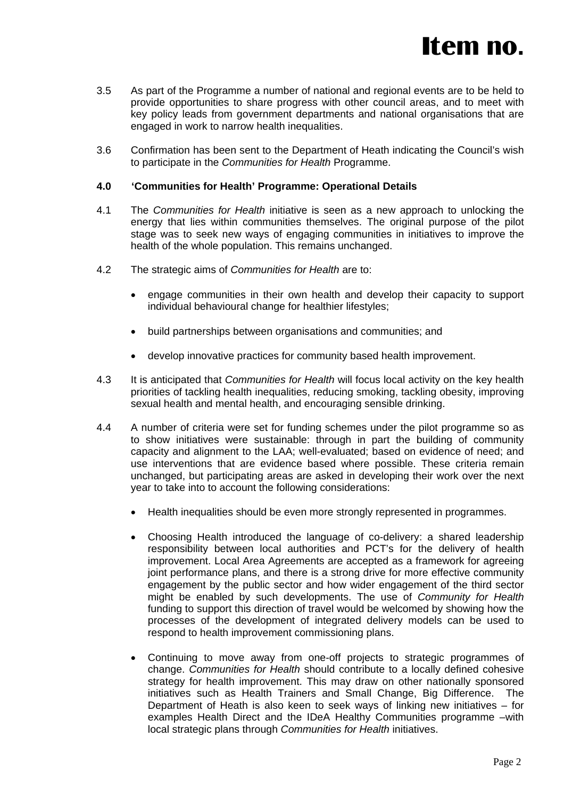

- 3.5 As part of the Programme a number of national and regional events are to be held to provide opportunities to share progress with other council areas, and to meet with key policy leads from government departments and national organisations that are engaged in work to narrow health inequalities.
- 3.6 Confirmation has been sent to the Department of Heath indicating the Council's wish to participate in the *Communities for Health* Programme.

#### **4.0 'Communities for Health' Programme: Operational Details**

- 4.1 The *Communities for Health* initiative is seen as a new approach to unlocking the energy that lies within communities themselves. The original purpose of the pilot stage was to seek new ways of engaging communities in initiatives to improve the health of the whole population. This remains unchanged.
- 4.2 The strategic aims of *Communities for Health* are to:
	- engage communities in their own health and develop their capacity to support individual behavioural change for healthier lifestyles;
	- build partnerships between organisations and communities; and
	- develop innovative practices for community based health improvement.
- 4.3 It is anticipated that *Communities for Health* will focus local activity on the key health priorities of tackling health inequalities, reducing smoking, tackling obesity, improving sexual health and mental health, and encouraging sensible drinking.
- 4.4 A number of criteria were set for funding schemes under the pilot programme so as to show initiatives were sustainable: through in part the building of community capacity and alignment to the LAA; well-evaluated; based on evidence of need; and use interventions that are evidence based where possible. These criteria remain unchanged, but participating areas are asked in developing their work over the next year to take into to account the following considerations:
	- Health inequalities should be even more strongly represented in programmes.
	- Choosing Health introduced the language of co-delivery: a shared leadership responsibility between local authorities and PCT's for the delivery of health improvement. Local Area Agreements are accepted as a framework for agreeing joint performance plans, and there is a strong drive for more effective community engagement by the public sector and how wider engagement of the third sector might be enabled by such developments. The use of *Community for Health* funding to support this direction of travel would be welcomed by showing how the processes of the development of integrated delivery models can be used to respond to health improvement commissioning plans.
	- Continuing to move away from one-off projects to strategic programmes of change. *Communities for Health* should contribute to a locally defined cohesive strategy for health improvement. This may draw on other nationally sponsored initiatives such as Health Trainers and Small Change, Big Difference. The Department of Heath is also keen to seek ways of linking new initiatives – for examples Health Direct and the IDeA Healthy Communities programme –with local strategic plans through *Communities for Health* initiatives.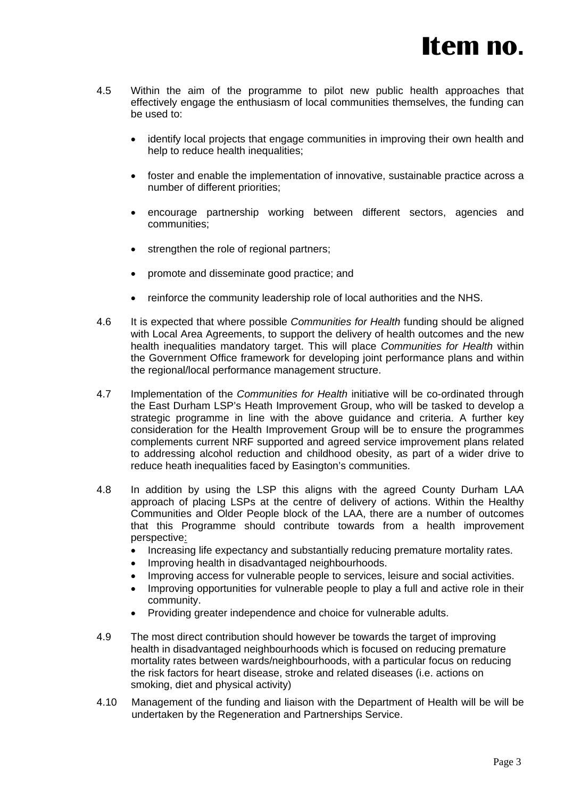- 4.5 Within the aim of the programme to pilot new public health approaches that effectively engage the enthusiasm of local communities themselves, the funding can be used to:
	- identify local projects that engage communities in improving their own health and help to reduce health inequalities;
	- foster and enable the implementation of innovative, sustainable practice across a number of different priorities;
	- encourage partnership working between different sectors, agencies and communities;
	- strengthen the role of regional partners;
	- promote and disseminate good practice; and
	- reinforce the community leadership role of local authorities and the NHS.
- 4.6 It is expected that where possible *Communities for Health* funding should be aligned with Local Area Agreements, to support the delivery of health outcomes and the new health inequalities mandatory target. This will place *Communities for Health* within the Government Office framework for developing joint performance plans and within the regional/local performance management structure.
- 4.7 Implementation of the *Communities for Health* initiative will be co-ordinated through the East Durham LSP's Heath Improvement Group, who will be tasked to develop a strategic programme in line with the above guidance and criteria. A further key consideration for the Health Improvement Group will be to ensure the programmes complements current NRF supported and agreed service improvement plans related to addressing alcohol reduction and childhood obesity, as part of a wider drive to reduce heath inequalities faced by Easington's communities.
- 4.8 In addition by using the LSP this aligns with the agreed County Durham LAA approach of placing LSPs at the centre of delivery of actions. Within the Healthy Communities and Older People block of the LAA, there are a number of outcomes that this Programme should contribute towards from a health improvement perspective:
	- Increasing life expectancy and substantially reducing premature mortality rates.
	- Improving health in disadvantaged neighbourhoods.
	- Improving access for vulnerable people to services, leisure and social activities.
	- Improving opportunities for vulnerable people to play a full and active role in their community.
	- Providing greater independence and choice for vulnerable adults.
- 4.9 The most direct contribution should however be towards the target of improving health in disadvantaged neighbourhoods which is focused on reducing premature mortality rates between wards/neighbourhoods, with a particular focus on reducing the risk factors for heart disease, stroke and related diseases (i.e. actions on smoking, diet and physical activity)
- 4.10 Management of the funding and liaison with the Department of Health will be will be undertaken by the Regeneration and Partnerships Service.